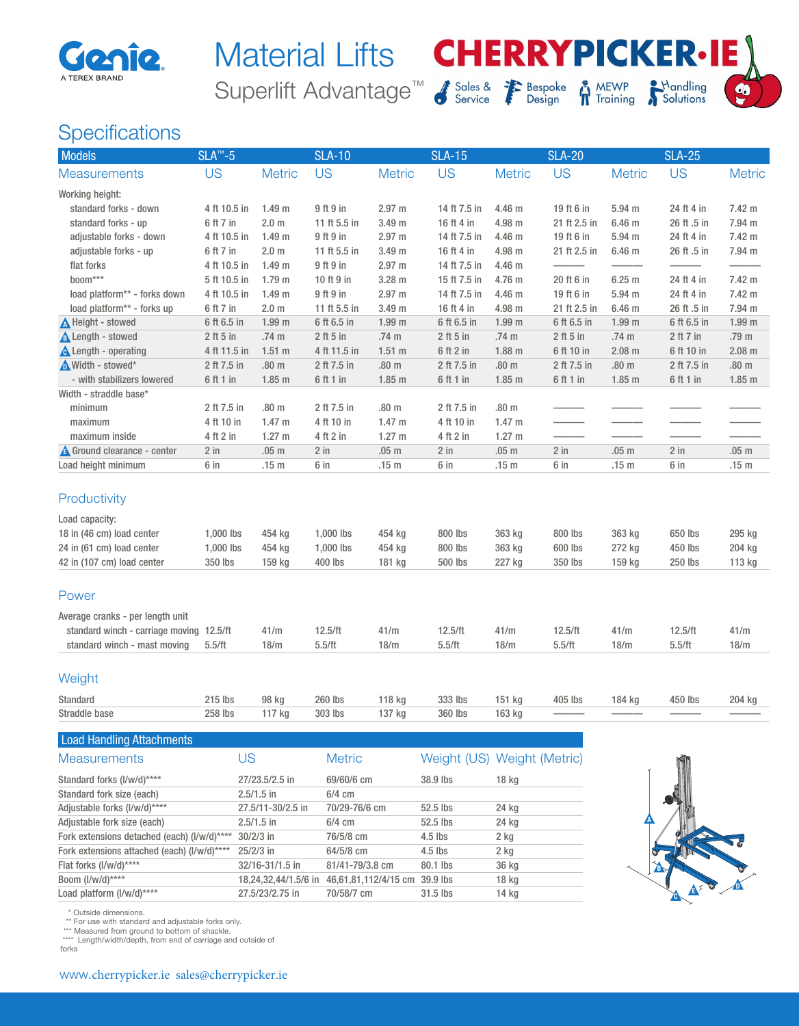

## Superlift Advantage<sup>™</sup> S<sub>Scrvice</sub> <sup>7</sup> Bespoke Material Lifts **CHERRYPICKER.IE**



## **MEWP**<br>Training



## **Specifications**

| Models                                   | $SLA^{m} - 5$ |                   | <b>SLA-10</b> |                   | <b>SLA-15</b> |                   | <b>SLA-20</b> |                   | <b>SLA-25</b> |                   |
|------------------------------------------|---------------|-------------------|---------------|-------------------|---------------|-------------------|---------------|-------------------|---------------|-------------------|
| <b>Measurements</b>                      | <b>US</b>     | <b>Metric</b>     | <b>US</b>     | <b>Metric</b>     | <b>US</b>     | <b>Metric</b>     | <b>US</b>     | <b>Metric</b>     | <b>US</b>     | <b>Metric</b>     |
| Working height:                          |               |                   |               |                   |               |                   |               |                   |               |                   |
| standard forks - down                    | 4 ft 10.5 in  | 1.49 <sub>m</sub> | 9 ft 9 in     | 2.97 m            | 14 ft 7.5 in  | 4.46 m            | 19 ft 6 in    | 5.94 m            | 24 ft 4 in    | 7.42 m            |
| standard forks - up                      | 6 ft 7 in     | 2.0 <sub>m</sub>  | 11 ft 5.5 in  | 3.49 m            | 16 ft 4 in    | 4.98 m            | 21 ft 2.5 in  | 6.46 m            | 26 ft .5 in   | 7.94 m            |
| adjustable forks - down                  | 4 ft 10.5 in  | 1.49 <sub>m</sub> | 9 ft 9 in     | 2.97 m            | 14 ft 7.5 in  | 4.46 m            | 19 ft 6 in    | 5.94 m            | 24 ft 4 in    | 7.42 m            |
| adjustable forks - up                    | 6 ft 7 in     | 2.0 <sub>m</sub>  | 11 ft 5.5 in  | 3.49 m            | 16 ft 4 in    | 4.98 m            | 21 ft 2.5 in  | 6.46 m            | 26 ft .5 in   | 7.94 m            |
| flat forks                               | 4 ft 10.5 in  | 1.49 <sub>m</sub> | 9 ft 9 in     | 2.97 m            | 14 ft 7.5 in  | 4.46 m            |               |                   |               |                   |
| boom***                                  | 5 ft 10.5 in  | 1.79 <sub>m</sub> | 10 ft 9 in    | 3.28 m            | 15 ft 7.5 in  | 4.76 m            | 20 ft 6 in    | 6.25m             | 24 ft 4 in    | 7.42 m            |
| load platform** - forks down             | 4 ft 10.5 in  | 1.49 <sub>m</sub> | 9 ft 9 in     | 2.97 m            | 14 ft 7.5 in  | 4.46 m            | 19 ft 6 in    | 5.94 m            | 24 ft 4 in    | 7.42 m            |
| load platform** - forks up               | 6 ft 7 in     | 2.0 <sub>m</sub>  | 11 ft 5.5 in  | 3.49 m            | 16 ft 4 in    | 4.98 m            | 21 ft 2.5 in  | 6.46 m            | 26 ft .5 in   | 7.94 m            |
| <b>A</b> Height - stowed                 | 6 ft 6.5 in   | 1.99 <sub>m</sub> | 6 ft 6.5 in   | 1.99 <sub>m</sub> | 6 ft 6.5 in   | 1.99 <sub>m</sub> | 6 ft 6.5 in   | 1.99 <sub>m</sub> | 6 ft 6.5 in   | 1.99 <sub>m</sub> |
| <b>A</b> Length - stowed                 | $2$ ft 5 in   | .74 m             | $2$ ft 5 in   | .74 m             | $2$ ft 5 in   | .74 m             | $2$ ft 5 in   | .74 m             | 2 ft 7 in     | .79 m             |
| <b>A</b> Length - operating              | 4 ft 11.5 in  | $1.51$ m          | 4 ft 11.5 in  | $1.51$ m          | 6 ft 2 in     | $1.88$ m          | 6 ft 10 in    | $2.08$ m          | 6 ft 10 in    | $2.08$ m          |
| Width - stowed*                          | 2 ft 7.5 in   | .80 <sub>m</sub>  | 2 ft 7.5 in   | .80 <sub>m</sub>  | 2 ft 7.5 in   | .80 <sub>m</sub>  | 2 ft 7.5 in   | .80 <sub>m</sub>  | 2 ft 7.5 in   | .80 <sub>m</sub>  |
| - with stabilizers lowered               | 6 ft 1 in     | $1.85$ m          | 6 ft 1 in     | $1.85$ m          | 6 ft 1 in     | $1.85$ m          | 6 ft 1 in     | $1.85$ m          | 6 ft 1 in     | $1.85$ m          |
| Width - straddle base*                   |               |                   |               |                   |               |                   |               |                   |               |                   |
| minimum                                  | 2 ft 7.5 in   | .80 <sub>m</sub>  | 2 ft 7.5 in   | .80 <sub>m</sub>  | 2 ft 7.5 in   | .80 <sub>m</sub>  |               |                   |               |                   |
| maximum                                  | 4 ft 10 in    | 1.47 <sub>m</sub> | 4 ft 10 in    | 1.47 <sub>m</sub> | 4 ft 10 in    | 1.47 <sub>m</sub> |               |                   |               |                   |
| maximum inside                           | 4 ft 2 in     | $1.27 \text{ m}$  | 4 ft 2 in     | $1.27 \text{ m}$  | 4 ft 2 in     | 1.27 m            |               |                   |               |                   |
| <b>A</b> Ground clearance - center       | $2$ in        | .05 <sub>m</sub>  | $2$ in        | .05 <sub>m</sub>  | $2$ in        | .05 <sub>m</sub>  | 2 in          | .05 <sub>m</sub>  | $2$ in        | .05 <sub>m</sub>  |
| Load height minimum                      | 6 in          | .15 <sub>m</sub>  | 6 in          | .15 <sub>m</sub>  | 6 in          | .15 <sub>m</sub>  | 6 in          | .15 <sub>m</sub>  | 6 in          | .15 <sub>m</sub>  |
| Productivity                             |               |                   |               |                   |               |                   |               |                   |               |                   |
| Load capacity:                           |               |                   |               |                   |               |                   |               |                   |               |                   |
| 18 in (46 cm) load center                | 1,000 lbs     | 454 kg            | 1,000 lbs     | 454 kg            | 800 lbs       | 363 kg            | 800 lbs       | 363 kg            | 650 lbs       | 295 kg            |
| 24 in (61 cm) load center                | 1,000 lbs     | 454 kg            | 1,000 lbs     | 454 kg            | 800 lbs       | 363 kg            | 600 lbs       | 272 kg            | 450 lbs       | 204 kg            |
| 42 in (107 cm) load center               | 350 lbs       | 159 kg            | 400 lbs       | 181 kg            | 500 lbs       | 227 kg            | 350 lbs       | 159 kg            | 250 lbs       | 113 kg            |
| Power                                    |               |                   |               |                   |               |                   |               |                   |               |                   |
| Average cranks - per length unit         |               |                   |               |                   |               |                   |               |                   |               |                   |
| standard winch - carriage moving 12.5/ft |               | 41/m              | 12.5/ft       | 41/m              | 12.5/ft       | 41/m              | 12.5/ft       | 41/m              | 12.5/ft       | 41/m              |
| standard winch - mast moving             | 5.5/ft        | 18/m              | 5.5/ft        | 18/m              | 5.5/ft        | 18/m              | 5.5/ft        | 18/m              | 5.5/ft        | 18/m              |
| Weight                                   |               |                   |               |                   |               |                   |               |                   |               |                   |
| Standard                                 | 215 lbs       | 98 kg             | 260 lbs       | 118 kg            | 333 lbs       | 151 kg            | 405 lbs       | 184 kg            | 450 lbs       | 204 kg            |
| Straddle base                            | 258 lbs       | 117 kg            | 303 lbs       | 137 kg            | 360 lbs       | 163 kg            |               |                   |               |                   |
|                                          |               |                   |               |                   |               |                   |               |                   |               |                   |

| US                | <b>Metric</b>                               |                                              | Weight (US) Weight (Metric) |
|-------------------|---------------------------------------------|----------------------------------------------|-----------------------------|
| 27/23.5/2.5 in    | 69/60/6 cm                                  | 38.9 lbs                                     | 18 <sub>kg</sub>            |
| $2.5/1.5$ in      | $6/4$ cm                                    |                                              |                             |
| 27.5/11-30/2.5 in | 70/29-76/6 cm                               | $52.5$ lbs                                   | 24 kg                       |
| $2.5/1.5$ in      | $6/4$ cm                                    | 52.5 lbs                                     | 24 kg                       |
| $30/2/3$ in       | 76/5/8 cm                                   | $4.5$ lbs                                    | 2 kg                        |
| $25/2/3$ in       | $64/5/8$ cm                                 | $4.5$ lbs                                    | 2 kg                        |
| 32/16-31/1.5 in   | 81/41-79/3.8 cm                             | 80.1 lbs                                     | 36 kg                       |
|                   |                                             | 39.9 lbs                                     | 18 <sub>kg</sub>            |
| 27.5/23/2.75 in   | 70/58/7 cm                                  | $31.5$ lbs                                   | 14 kg                       |
|                   | Fork extensions detached (each) (I/w/d)**** | 18,24,32,44/1.5/6 in<br>46,61,81,112/4/15 cm |                             |



\* Outside dimensions.

\*\* For use with standard and adjustable forks only. \*\*\* Measured from ground to bottom of shackle. \*\*\*\* Length/width/depth, from end of carriage and outside of

forks